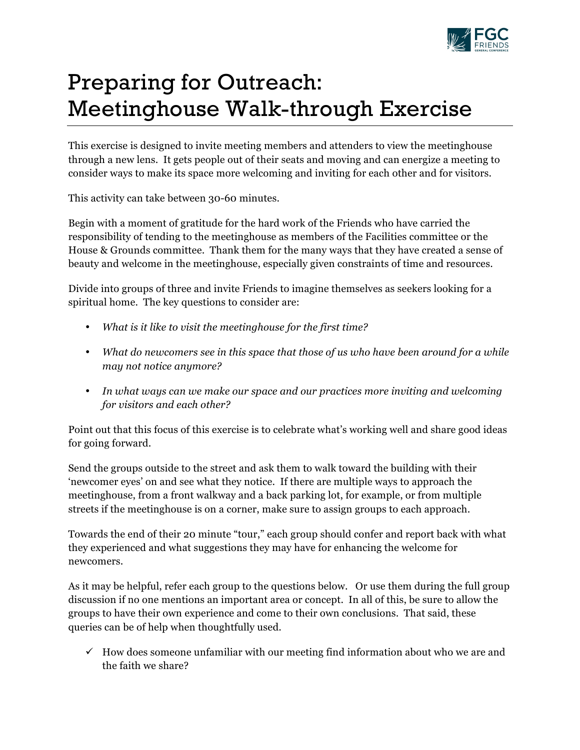

## Preparing for Outreach: Meetinghouse Walk-through Exercise

This exercise is designed to invite meeting members and attenders to view the meetinghouse through a new lens. It gets people out of their seats and moving and can energize a meeting to consider ways to make its space more welcoming and inviting for each other and for visitors.

This activity can take between 30-60 minutes.

Begin with a moment of gratitude for the hard work of the Friends who have carried the responsibility of tending to the meetinghouse as members of the Facilities committee or the House & Grounds committee. Thank them for the many ways that they have created a sense of beauty and welcome in the meetinghouse, especially given constraints of time and resources.

Divide into groups of three and invite Friends to imagine themselves as seekers looking for a spiritual home. The key questions to consider are:

- *What is it like to visit the meetinghouse for the first time?*
- *What do newcomers see in this space that those of us who have been around for a while may not notice anymore?*
- *In what ways can we make our space and our practices more inviting and welcoming for visitors and each other?*

Point out that this focus of this exercise is to celebrate what's working well and share good ideas for going forward.

Send the groups outside to the street and ask them to walk toward the building with their 'newcomer eyes' on and see what they notice. If there are multiple ways to approach the meetinghouse, from a front walkway and a back parking lot, for example, or from multiple streets if the meetinghouse is on a corner, make sure to assign groups to each approach.

Towards the end of their 20 minute "tour," each group should confer and report back with what they experienced and what suggestions they may have for enhancing the welcome for newcomers.

As it may be helpful, refer each group to the questions below. Or use them during the full group discussion if no one mentions an important area or concept. In all of this, be sure to allow the groups to have their own experience and come to their own conclusions. That said, these queries can be of help when thoughtfully used.

 $\checkmark$  How does someone unfamiliar with our meeting find information about who we are and the faith we share?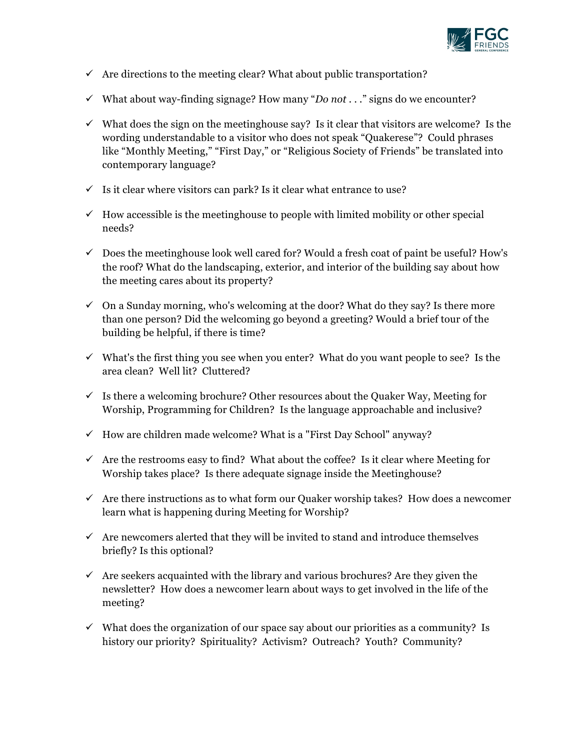

- $\checkmark$  Are directions to the meeting clear? What about public transportation?
- $\checkmark$  What about way-finding signage? How many "*Do not . . .*" signs do we encounter?
- $\checkmark$  What does the sign on the meetinghouse say? Is it clear that visitors are welcome? Is the wording understandable to a visitor who does not speak "Quakerese"? Could phrases like "Monthly Meeting," "First Day," or "Religious Society of Friends" be translated into contemporary language?
- $\checkmark$  Is it clear where visitors can park? Is it clear what entrance to use?
- $\checkmark$  How accessible is the meetinghouse to people with limited mobility or other special needs?
- $\checkmark$  Does the meetinghouse look well cared for? Would a fresh coat of paint be useful? How's the roof? What do the landscaping, exterior, and interior of the building say about how the meeting cares about its property?
- $\checkmark$  On a Sunday morning, who's welcoming at the door? What do they say? Is there more than one person? Did the welcoming go beyond a greeting? Would a brief tour of the building be helpful, if there is time?
- $\checkmark$  What's the first thing you see when you enter? What do you want people to see? Is the area clean? Well lit? Cluttered?
- $\checkmark$  Is there a welcoming brochure? Other resources about the Quaker Way, Meeting for Worship, Programming for Children? Is the language approachable and inclusive?
- $\checkmark$  How are children made welcome? What is a "First Day School" anyway?
- $\checkmark$  Are the restrooms easy to find? What about the coffee? Is it clear where Meeting for Worship takes place? Is there adequate signage inside the Meetinghouse?
- $\checkmark$  Are there instructions as to what form our Quaker worship takes? How does a newcomer learn what is happening during Meeting for Worship?
- $\checkmark$  Are new comers alerted that they will be invited to stand and introduce themselves briefly? Is this optional?
- $\checkmark$  Are seekers acquainted with the library and various brochures? Are they given the newsletter? How does a newcomer learn about ways to get involved in the life of the meeting?
- $\checkmark$  What does the organization of our space say about our priorities as a community? Is history our priority? Spirituality? Activism? Outreach? Youth? Community?